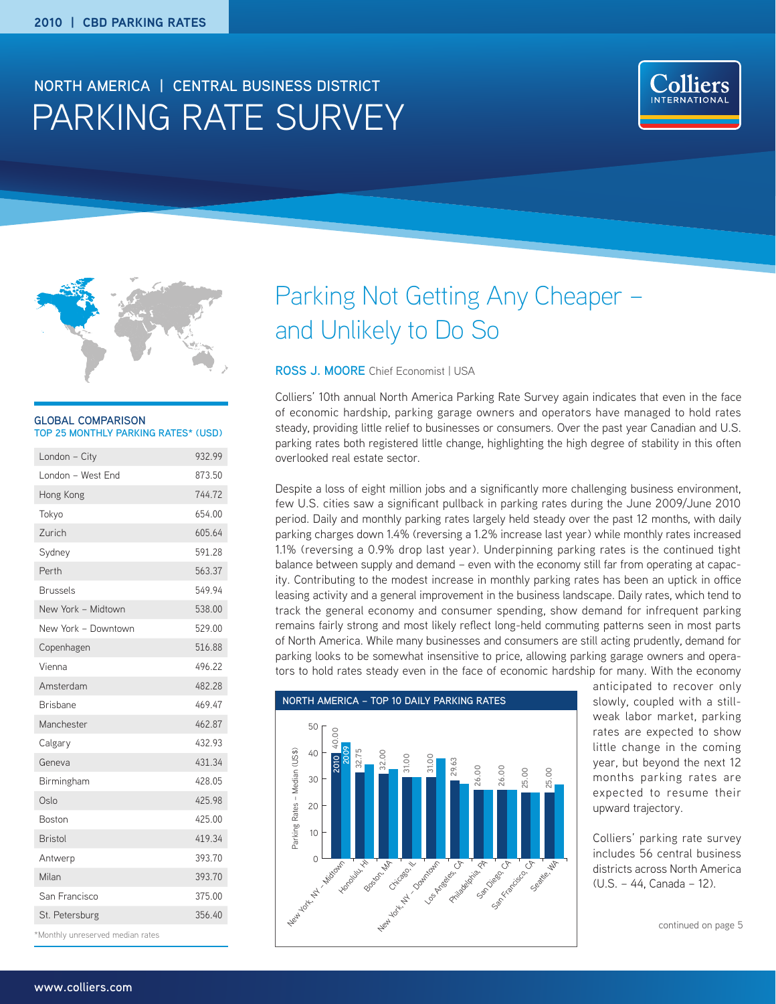## PARKING RATE SURVEY **NORTH AMERICA | CENTRAL BUSINESS DISTRICT**





#### **GLOBAL COMPARISON TOP 25 MONTHLY PARKING RATES\* (USD)**

| London - City                    | 932.99 |
|----------------------------------|--------|
| London - West End                | 873.50 |
| Hong Kong                        | 744.72 |
| Tokyo                            | 654.00 |
| Zurich                           | 605.64 |
| Sydney                           | 591.28 |
| Perth                            | 563.37 |
| <b>Brussels</b>                  | 549.94 |
| New York - Midtown               | 538.00 |
| New York - Downtown              | 529.00 |
| Copenhagen                       | 516.88 |
| Vienna                           | 496.22 |
| Amsterdam                        | 482.28 |
| Brisbane                         | 469.47 |
| Manchester                       | 462.87 |
| Calgary                          | 432.93 |
| Geneva                           | 431.34 |
| Birmingham                       | 428.05 |
| Oslo                             | 425.98 |
| <b>Boston</b>                    | 425.00 |
| <b>Rristol</b>                   | 419.34 |
| Antwerp                          | 393.70 |
| Milan                            | 393.70 |
| San Francisco                    | 375.00 |
| St. Petersburg                   | 356.40 |
| *Monthly unreserved median rates |        |

# Parking Not Getting Any Cheaper – and Unlikely to Do So

#### **ROSS J. MOORE** Chief Economist | USA

Colliers' 10th annual North America Parking Rate Survey again indicates that even in the face of economic hardship, parking garage owners and operators have managed to hold rates steady, providing little relief to businesses or consumers. Over the past year Canadian and U.S. parking rates both registered little change, highlighting the high degree of stability in this often overlooked real estate sector.

Despite a loss of eight million jobs and a significantly more challenging business environment, few U.S. cities saw a significant pullback in parking rates during the June 2009/June 2010 period. Daily and monthly parking rates largely held steady over the past 12 months, with daily parking charges down 1.4% (reversing a 1.2% increase last year) while monthly rates increased 1.1% (reversing a 0.9% drop last year). Underpinning parking rates is the continued tight balance between supply and demand – even with the economy still far from operating at capacity. Contributing to the modest increase in monthly parking rates has been an uptick in office leasing activity and a general improvement in the business landscape. Daily rates, which tend to track the general economy and consumer spending, show demand for infrequent parking remains fairly strong and most likely reflect long-held commuting patterns seen in most parts of North America. While many businesses and consumers are still acting prudently, demand for parking looks to be somewhat insensitive to price, allowing parking garage owners and operators to hold rates steady even in the face of economic hardship for many. With the economy



anticipated to recover only slowly, coupled with a stillweak labor market, parking rates are expected to show little change in the coming year, but beyond the next 12 months parking rates are expected to resume their upward trajectory.

Colliers' parking rate survey includes 56 central business districts across North America (U.S. – 44, Canada – 12).

continued on page 5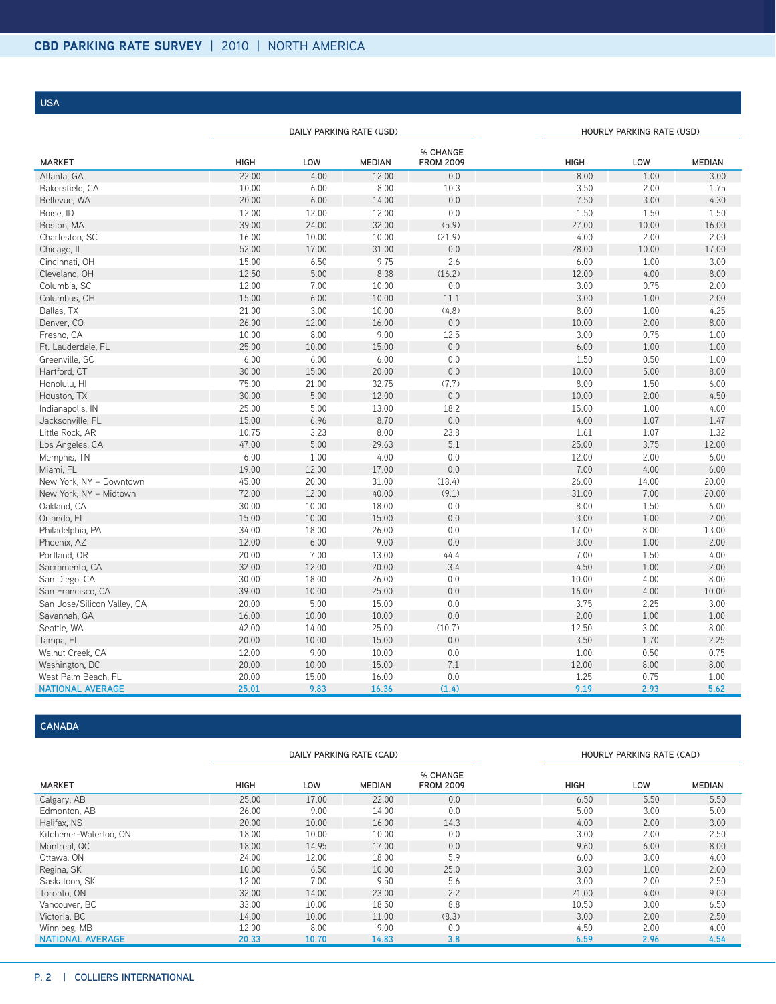**USA**

|                             |       |       | DAILY PARKING RATE (USD) |                              | HOURLY PARKING RATE (USD) |       |               |
|-----------------------------|-------|-------|--------------------------|------------------------------|---------------------------|-------|---------------|
| <b>MARKET</b>               | HIGH  | LOW   | <b>MEDIAN</b>            | % CHANGE<br><b>FROM 2009</b> | <b>HIGH</b>               | LOW   | <b>MEDIAN</b> |
| Atlanta, GA                 | 22.00 | 4.00  | 12.00                    | 0.0                          | 8.00                      | 1.00  | 3.00          |
| Bakersfield, CA             | 10.00 | 6.00  | 8.00                     | 10.3                         | 3.50                      | 2.00  | 1.75          |
| Bellevue, WA                | 20.00 | 6.00  | 14.00                    | 0.0                          | 7.50                      | 3.00  | 4.30          |
| Boise, ID                   | 12.00 | 12.00 | 12.00                    | 0.0                          | 1.50                      | 1.50  | 1.50          |
| Boston, MA                  | 39.00 | 24.00 | 32.00                    | (5.9)                        | 27.00                     | 10.00 | 16.00         |
| Charleston, SC              | 16.00 | 10.00 | 10.00                    | (21.9)                       | 4.00                      | 2.00  | 2.00          |
| Chicago, IL                 | 52.00 | 17.00 | 31.00                    | 0.0                          | 28.00                     | 10.00 | 17.00         |
| Cincinnati, OH              | 15.00 | 6.50  | 9.75                     | 2.6                          | 6.00                      | 1.00  | 3.00          |
| Cleveland, OH               | 12.50 | 5.00  | 8.38                     | (16.2)                       | 12.00                     | 4.00  | 8.00          |
| Columbia, SC                | 12.00 | 7.00  | 10.00                    | $0.0\,$                      | 3.00                      | 0.75  | 2.00          |
| Columbus, OH                | 15.00 | 6.00  | 10.00                    | 11.1                         | 3.00                      | 1.00  | 2.00          |
| Dallas, TX                  | 21.00 | 3.00  | 10.00                    | (4.8)                        | 8.00                      | 1.00  | 4.25          |
| Denver, CO                  | 26.00 | 12.00 | 16.00                    | 0.0                          | 10.00                     | 2.00  | 8.00          |
| Fresno, CA                  | 10.00 | 8.00  | 9.00                     | 12.5                         | 3.00                      | 0.75  | 1.00          |
| Ft. Lauderdale, FL          | 25.00 | 10.00 | 15.00                    | 0.0                          | 6.00                      | 1.00  | 1.00          |
| Greenville, SC              | 6.00  | 6.00  | 6.00                     | 0.0                          | 1.50                      | 0.50  | 1.00          |
| Hartford, CT                | 30.00 | 15.00 | 20.00                    | 0.0                          | 10.00                     | 5.00  | 8.00          |
| Honolulu, HI                | 75.00 | 21.00 | 32.75                    | (7.7)                        | 8.00                      | 1.50  | 6.00          |
| Houston, TX                 | 30.00 | 5.00  | 12.00                    | 0.0                          | 10.00                     | 2.00  | 4.50          |
| Indianapolis, IN            | 25.00 | 5.00  | 13.00                    | 18.2                         | 15.00                     | 1.00  | 4.00          |
| Jacksonville, FL            | 15.00 | 6.96  | 8.70                     | 0.0                          | 4.00                      | 1.07  | 1.47          |
| Little Rock, AR             | 10.75 | 3.23  | 8.00                     | 23.8                         | 1.61                      | 1.07  | 1.32          |
| Los Angeles, CA             | 47.00 | 5.00  | 29.63                    | 5.1                          | 25.00                     | 3.75  | 12.00         |
| Memphis, TN                 | 6.00  | 1.00  | 4.00                     | 0.0                          | 12.00                     | 2.00  | 6.00          |
| Miami, FL                   | 19.00 | 12.00 | 17.00                    | 0.0                          | 7.00                      | 4.00  | 6.00          |
| New York, NY - Downtown     | 45.00 | 20.00 | 31.00                    | (18.4)                       | 26.00                     | 14.00 | 20.00         |
| New York, NY - Midtown      | 72.00 | 12.00 | 40.00                    | (9.1)                        | 31.00                     | 7.00  | 20.00         |
| Oakland, CA                 | 30.00 | 10.00 | 18.00                    | 0.0                          | 8.00                      | 1.50  | 6.00          |
| Orlando, FL                 | 15.00 | 10.00 | 15.00                    | 0.0                          | 3.00                      | 1.00  | 2.00          |
| Philadelphia, PA            | 34.00 | 18.00 | 26.00                    | 0.0                          | 17.00                     | 8.00  | 13.00         |
| Phoenix, AZ                 | 12.00 | 6.00  | 9.00                     | 0.0                          | 3.00                      | 1.00  | 2.00          |
| Portland, OR                | 20.00 | 7.00  | 13.00                    | 44.4                         | 7.00                      | 1.50  | 4.00          |
| Sacramento, CA              | 32.00 | 12.00 | 20.00                    | 3.4                          | 4.50                      | 1.00  | 2.00          |
| San Diego, CA               | 30.00 | 18.00 | 26.00                    | 0.0                          | 10.00                     | 4.00  | 8.00          |
| San Francisco, CA           | 39.00 | 10.00 | 25.00                    | 0.0                          | 16.00                     | 4.00  | 10.00         |
| San Jose/Silicon Valley, CA | 20.00 | 5.00  | 15.00                    | 0.0                          | 3.75                      | 2.25  | 3.00          |
| Savannah, GA                | 16.00 | 10.00 | 10.00                    | 0.0                          | 2.00                      | 1.00  | 1.00          |
| Seattle, WA                 | 42.00 | 14.00 | 25.00                    | (10.7)                       | 12.50                     | 3.00  | 8.00          |
| Tampa, FL                   | 20.00 | 10.00 | 15.00                    | 0.0                          | 3.50                      | 1.70  | 2.25          |
| Walnut Creek, CA            | 12.00 | 9.00  | 10.00                    | 0.0                          | 1.00                      | 0.50  | 0.75          |
| Washington, DC              | 20.00 | 10.00 | 15.00                    | 7.1                          | 12.00                     | 8.00  | 8.00          |
| West Palm Beach, FL         | 20.00 | 15.00 | 16.00                    | 0.0                          | 1.25                      | 0.75  | 1.00          |
| <b>NATIONAL AVERAGE</b>     | 25.01 | 9.83  | 16.36                    | (1.4)                        | 9.19                      | 2.93  | 5.62          |

### **CANADA**

|                         | DAILY PARKING RATE (CAD) |       |               |                              |             | HOURLY PARKING RATE (CAD) |               |
|-------------------------|--------------------------|-------|---------------|------------------------------|-------------|---------------------------|---------------|
| <b>MARKET</b>           | <b>HIGH</b>              | LOW   | <b>MEDIAN</b> | % CHANGE<br><b>FROM 2009</b> | <b>HIGH</b> | LOW                       | <b>MEDIAN</b> |
| Calgary, AB             | 25.00                    | 17.00 | 22.00         | 0.0                          | 6.50        | 5.50                      | 5.50          |
| Edmonton, AB            | 26.00                    | 9.00  | 14.00         | 0.0                          | 5.00        | 3.00                      | 5.00          |
| Halifax, NS             | 20.00                    | 10.00 | 16.00         | 14.3                         | 4.00        | 2.00                      | 3.00          |
| Kitchener-Waterloo, ON  | 18.00                    | 10.00 | 10.00         | 0.0                          | 3.00        | 2.00                      | 2.50          |
| Montreal, QC            | 18.00                    | 14.95 | 17.00         | 0.0                          | 9.60        | 6.00                      | 8.00          |
| Ottawa, ON              | 24.00                    | 12.00 | 18.00         | 5.9                          | 6.00        | 3.00                      | 4.00          |
| Regina, SK              | 10.00                    | 6.50  | 10.00         | 25.0                         | 3.00        | 1.00                      | 2.00          |
| Saskatoon, SK           | 12.00                    | 7.00  | 9.50          | 5.6                          | 3.00        | 2.00                      | 2.50          |
| Toronto, ON             | 32.00                    | 14.00 | 23.00         | 2.2                          | 21.00       | 4.00                      | 9.00          |
| Vancouver, BC           | 33.00                    | 10.00 | 18.50         | 8.8                          | 10.50       | 3.00                      | 6.50          |
| Victoria, BC            | 14.00                    | 10.00 | 11.00         | (8.3)                        | 3.00        | 2.00                      | 2.50          |
| Winnipeg, MB            | 12.00                    | 8.00  | 9.00          | 0.0                          | 4.50        | 2.00                      | 4.00          |
| <b>NATIONAL AVERAGE</b> | 20.33                    | 10.70 | 14.83         | 3.8                          | 6.59        | 2.96                      | 4.54          |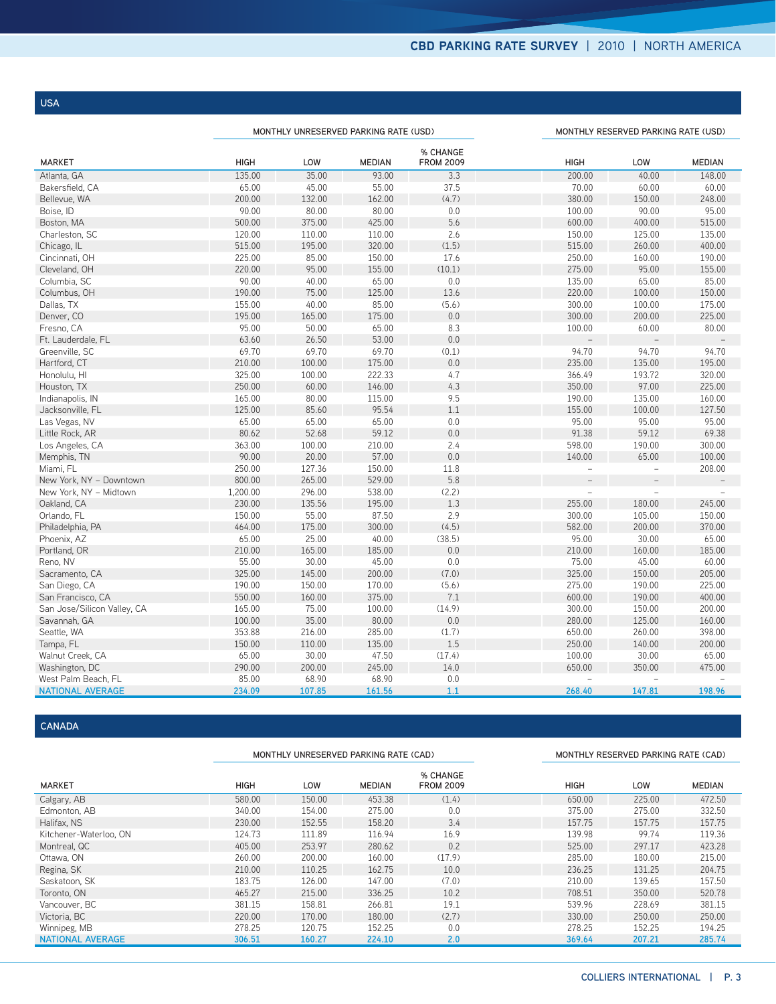**USA**

|                             |             | MONTHLY UNRESERVED PARKING RATE (USD) |               |                              |                | MONTHLY RESERVED PARKING RATE (USD) |               |  |  |
|-----------------------------|-------------|---------------------------------------|---------------|------------------------------|----------------|-------------------------------------|---------------|--|--|
| <b>MARKET</b>               | <b>HIGH</b> | LOW                                   | <b>MEDIAN</b> | % CHANGE<br><b>FROM 2009</b> | <b>HIGH</b>    | LOW                                 | <b>MEDIAN</b> |  |  |
| Atlanta, GA                 | 135.00      | 35.00                                 | 93.00         | 3.3                          | 200.00         | 40.00                               | 148.00        |  |  |
| Bakersfield, CA             | 65.00       | 45.00                                 | 55.00         | 37.5                         | 70.00          | 60.00                               | 60.00         |  |  |
| Bellevue, WA                | 200.00      | 132.00                                | 162.00        | (4.7)                        | 380.00         | 150.00                              | 248.00        |  |  |
| Boise, ID                   | 90.00       | 80.00                                 | 80.00         | 0.0                          | 100.00         | 90.00                               | 95.00         |  |  |
| Boston, MA                  | 500.00      | 375.00                                | 425.00        | 5.6                          | 600.00         | 400.00                              | 515.00        |  |  |
| Charleston, SC              | 120.00      | 110.00                                | 110.00        | 2.6                          | 150.00         | 125.00                              | 135.00        |  |  |
| Chicago, IL                 | 515.00      | 195.00                                | 320.00        | (1.5)                        | 515.00         | 260.00                              | 400.00        |  |  |
| Cincinnati, OH              | 225.00      | 85.00                                 | 150.00        | 17.6                         | 250.00         | 160.00                              | 190.00        |  |  |
| Cleveland, OH               | 220.00      | 95.00                                 | 155.00        | (10.1)                       | 275.00         | 95.00                               | 155.00        |  |  |
| Columbia, SC                | 90.00       | 40.00                                 | 65.00         | $0.0\,$                      | 135.00         | 65.00                               | 85.00         |  |  |
| Columbus, OH                | 190.00      | 75.00                                 | 125.00        | 13.6                         | 220.00         | 100.00                              | 150.00        |  |  |
| Dallas, TX                  | 155.00      | 40.00                                 | 85.00         | (5.6)                        | 300.00         | 100.00                              | 175.00        |  |  |
| Denver, CO                  | 195.00      | 165.00                                | 175.00        | 0.0                          | 300.00         | 200.00                              | 225.00        |  |  |
| Fresno, CA                  | 95.00       | 50.00                                 | 65.00         | 8.3                          | 100.00         | 60.00                               | 80.00         |  |  |
| Ft. Lauderdale, FL          | 63.60       | 26.50                                 | 53.00         | 0.0                          |                |                                     |               |  |  |
| Greenville, SC              | 69.70       | 69.70                                 | 69.70         | (0.1)                        | 94.70          | 94.70                               | 94.70         |  |  |
| Hartford, CT                | 210.00      | 100.00                                | 175.00        | 0.0                          | 235.00         | 135.00                              | 195.00        |  |  |
| Honolulu, HI                | 325.00      | 100.00                                | 222.33        | 4.7                          | 366.49         | 193.72                              | 320.00        |  |  |
| Houston, TX                 | 250.00      | 60.00                                 | 146.00        | 4.3                          | 350.00         | 97.00                               | 225.00        |  |  |
| Indianapolis, IN            | 165.00      | 80.00                                 | 115.00        | 9.5                          | 190.00         | 135.00                              | 160.00        |  |  |
| Jacksonville, FL            | 125.00      | 85.60                                 | 95.54         | 1.1                          | 155.00         | 100.00                              | 127.50        |  |  |
| Las Vegas, NV               | 65.00       | 65.00                                 | 65.00         | 0.0                          | 95.00          | 95.00                               | 95.00         |  |  |
| Little Rock, AR             | 80.62       | 52.68                                 | 59.12         | 0.0                          | 91.38          | 59.12                               | 69.38         |  |  |
| Los Angeles, CA             | 363.00      | 100.00                                | 210.00        | 2.4                          | 598.00         | 190.00                              | 300.00        |  |  |
| Memphis, TN                 | 90.00       | 20.00                                 | 57.00         | 0.0                          | 140.00         | 65.00                               | 100.00        |  |  |
| Miami, FL                   | 250.00      | 127.36                                | 150.00        | 11.8                         |                |                                     | 208.00        |  |  |
| New York, NY - Downtown     | 800.00      | 265.00                                | 529.00        | 5.8                          |                |                                     |               |  |  |
| New York, NY - Midtown      | 1,200.00    | 296.00                                | 538.00        | (2.2)                        | $\overline{a}$ |                                     |               |  |  |
| Oakland, CA                 | 230.00      | 135.56                                | 195.00        | 1.3                          | 255.00         | 180.00                              | 245.00        |  |  |
| Orlando, FL                 | 150.00      | 55.00                                 | 87.50         | 2.9                          | 300.00         | 105.00                              | 150.00        |  |  |
| Philadelphia, PA            | 464.00      | 175.00                                | 300.00        | (4.5)                        | 582.00         | 200.00                              | 370.00        |  |  |
| Phoenix, AZ                 | 65.00       | 25.00                                 | 40.00         | (38.5)                       | 95.00          | 30.00                               | 65.00         |  |  |
| Portland, OR                | 210.00      | 165.00                                | 185.00        | 0.0                          | 210.00         | 160.00                              | 185.00        |  |  |
| Reno, NV                    | 55.00       | 30.00                                 | 45.00         | 0.0                          | 75.00          | 45.00                               | 60.00         |  |  |
| Sacramento, CA              | 325.00      | 145.00                                | 200.00        | (7.0)                        | 325.00         | 150.00                              | 205.00        |  |  |
| San Diego, CA               | 190.00      | 150.00                                | 170.00        | (5.6)                        | 275.00         | 190.00                              | 225.00        |  |  |
| San Francisco, CA           | 550.00      | 160.00                                | 375.00        | 7.1                          | 600.00         | 190.00                              | 400.00        |  |  |
| San Jose/Silicon Valley, CA | 165.00      | 75.00                                 | 100.00        | (14.9)                       | 300.00         | 150.00                              | 200.00        |  |  |
| Savannah, GA                | 100.00      | 35.00                                 | 80.00         | 0.0                          | 280.00         | 125.00                              | 160.00        |  |  |
| Seattle, WA                 | 353.88      | 216.00                                | 285.00        | (1.7)                        | 650.00         | 260.00                              | 398.00        |  |  |
| Tampa, FL                   | 150.00      | 110.00                                | 135.00        | 1.5                          | 250.00         | 140.00                              | 200.00        |  |  |
| Walnut Creek, CA            | 65.00       | 30.00                                 | 47.50         | (17.4)                       | 100.00         | 30.00                               | 65.00         |  |  |
| Washington, DC              | 290.00      | 200.00                                | 245.00        | 14.0                         | 650.00         | 350.00                              | 475.00        |  |  |
| West Palm Beach, FL         | 85.00       | 68.90                                 | 68.90         | 0.0                          |                |                                     |               |  |  |
| <b>NATIONAL AVERAGE</b>     | 234.09      | 107.85                                | 161.56        | 1.1                          | 268.40         | 147.81                              | 198.96        |  |  |

### **CANADA**

|                         |             | MONTHLY UNRESERVED PARKING RATE (CAD) |               |                              |             | MONTHLY RESERVED PARKING RATE (CAD) |               |  |  |
|-------------------------|-------------|---------------------------------------|---------------|------------------------------|-------------|-------------------------------------|---------------|--|--|
| <b>MARKET</b>           | <b>HIGH</b> | LOW                                   | <b>MEDIAN</b> | % CHANGE<br><b>FROM 2009</b> | <b>HIGH</b> | LOW                                 | <b>MEDIAN</b> |  |  |
| Calgary, AB             | 580.00      | 150.00                                | 453.38        | (1.4)                        | 650.00      | 225.00                              | 472.50        |  |  |
| Edmonton, AB            | 340.00      | 154.00                                | 275.00        | 0.0                          | 375.00      | 275.00                              | 332.50        |  |  |
| Halifax, NS             | 230.00      | 152.55                                | 158.20        | 3.4                          | 157.75      | 157.75                              | 157.75        |  |  |
| Kitchener-Waterloo, ON  | 124.73      | 111.89                                | 116.94        | 16.9                         | 139.98      | 99.74                               | 119.36        |  |  |
| Montreal, QC            | 405.00      | 253.97                                | 280.62        | 0.2                          | 525.00      | 297.17                              | 423.28        |  |  |
| Ottawa, ON              | 260.00      | 200.00                                | 160.00        | (17.9)                       | 285.00      | 180.00                              | 215.00        |  |  |
| Regina, SK              | 210.00      | 110.25                                | 162.75        | 10.0                         | 236.25      | 131.25                              | 204.75        |  |  |
| Saskatoon, SK           | 183.75      | 126.00                                | 147.00        | (7.0)                        | 210.00      | 139.65                              | 157.50        |  |  |
| Toronto, ON             | 465.27      | 215.00                                | 336.25        | 10.2                         | 708.51      | 350.00                              | 520.78        |  |  |
| Vancouver, BC           | 381.15      | 158.81                                | 266.81        | 19.1                         | 539.96      | 228.69                              | 381.15        |  |  |
| Victoria, BC            | 220.00      | 170.00                                | 180.00        | (2.7)                        | 330.00      | 250.00                              | 250.00        |  |  |
| Winnipeg, MB            | 278.25      | 120.75                                | 152.25        | 0.0                          | 278.25      | 152.25                              | 194.25        |  |  |
| <b>NATIONAL AVERAGE</b> | 306.51      | 160.27                                | 224.10        | 2.0                          | 369.64      | 207.21                              | 285.74        |  |  |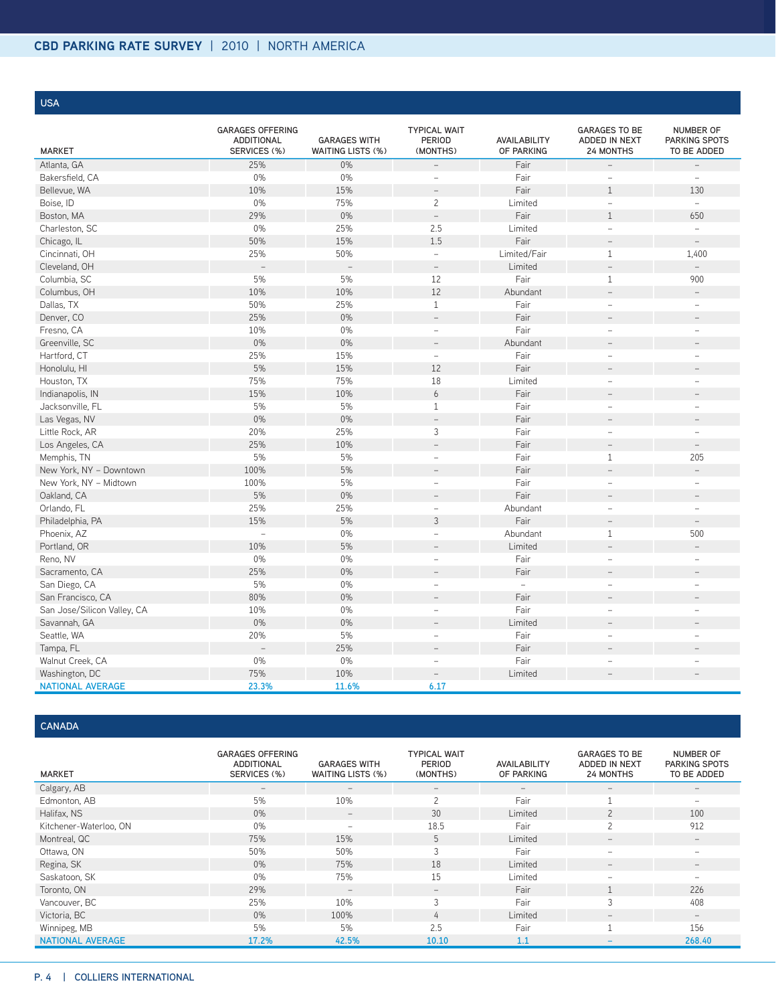**USA**

| <b>MARKET</b>               | <b>GARAGES OFFERING</b><br><b>ADDITIONAL</b><br>SERVICES (%) | <b>GARAGES WITH</b><br>WAITING LISTS (%) | <b>TYPICAL WAIT</b><br><b>PERIOD</b><br>(MONTHS) | AVAILABILITY<br>OF PARKING | <b>GARAGES TO BE</b><br>ADDED IN NEXT<br><b>24 MONTHS</b> | <b>NUMBER OF</b><br>PARKING SPOTS<br>TO BE ADDED |
|-----------------------------|--------------------------------------------------------------|------------------------------------------|--------------------------------------------------|----------------------------|-----------------------------------------------------------|--------------------------------------------------|
| Atlanta, GA                 | 25%                                                          | 0%                                       | $\overline{a}$                                   | Fair                       |                                                           | $\qquad \qquad -$                                |
| Bakersfield, CA             | 0%                                                           | 0%                                       | $\overline{\phantom{0}}$                         | Fair                       | $\equiv$                                                  | $\equiv$                                         |
| Bellevue, WA                | 10%                                                          | 15%                                      | $\overline{\phantom{a}}$                         | Fair                       | $\mathbf{1}$                                              | 130                                              |
| Boise, ID                   | 0%                                                           | 75%                                      | $\overline{c}$                                   | Limited                    | $\equiv$                                                  | $\equiv$                                         |
| Boston, MA                  | 29%                                                          | 0%                                       | $\qquad \qquad -$                                | Fair                       | $\mathbf{1}$                                              | 650                                              |
| Charleston, SC              | 0%                                                           | 25%                                      | 2.5                                              | Limited                    | $\equiv$                                                  | $\equiv$                                         |
| Chicago, IL                 | 50%                                                          | 15%                                      | 1.5                                              | Fair                       | $\equiv$                                                  | $\equiv$                                         |
| Cincinnati, OH              | 25%                                                          | 50%                                      | $\equiv$                                         | Limited/Fair               | $\mathbf{1}$                                              | 1,400                                            |
| Cleveland, OH               |                                                              | $\frac{1}{2}$                            | $\equiv$                                         | Limited                    | $\equiv$                                                  | $\bar{ }$                                        |
| Columbia, SC                | 5%                                                           | 5%                                       | 12                                               | Fair                       | $1\,$                                                     | 900                                              |
| Columbus, OH                | 10%                                                          | 10%                                      | 12                                               | Abundant                   | $\equiv$                                                  | $\equiv$                                         |
| Dallas, TX                  | 50%                                                          | 25%                                      | $\mathbf{1}$                                     | Fair                       |                                                           | $\overline{\phantom{a}}$                         |
| Denver, CO                  | 25%                                                          | 0%                                       | $\qquad \qquad -$                                | Fair                       | $\overline{\phantom{m}}$                                  | $\overline{\phantom{a}}$                         |
| Fresno, CA                  | 10%                                                          | $0\%$                                    | $\overline{\phantom{0}}$                         | Fair                       | $\equiv$                                                  | $\overline{\phantom{0}}$                         |
| Greenville, SC              | 0%                                                           | 0%                                       | $\overline{a}$                                   | Abundant                   | $\overline{a}$                                            |                                                  |
| Hartford, CT                | 25%                                                          | 15%                                      | $\overline{\phantom{0}}$                         | Fair                       | $\overline{\phantom{a}}$                                  | $\overline{\phantom{a}}$                         |
| Honolulu, HI                | 5%                                                           | 15%                                      | 12                                               | Fair                       | ۳                                                         |                                                  |
| Houston, TX                 | 75%                                                          | 75%                                      | 18                                               | Limited                    | $\overline{a}$                                            | Ē,                                               |
| Indianapolis, IN            | 15%                                                          | 10%                                      | 6                                                | Fair                       | $\overline{\phantom{0}}$                                  |                                                  |
| Jacksonville, FL            | 5%                                                           | 5%                                       | $\mathbf{1}$                                     | Fair                       | $\equiv$                                                  | $\sim$                                           |
| Las Vegas, NV               | 0%                                                           | $0\%$                                    | $\bar{ }$                                        | Fair                       | $\overline{\phantom{0}}$                                  |                                                  |
| Little Rock, AR             | 20%                                                          | 25%                                      | 3                                                | Fair                       | $\overline{\phantom{0}}$                                  | $\overline{\phantom{m}}$                         |
| Los Angeles, CA             | 25%                                                          | 10%                                      | $\overline{a}$                                   | Fair                       | $\equiv$                                                  | $\overline{\phantom{a}}$                         |
| Memphis, TN                 | 5%                                                           | 5%                                       | $\overline{\phantom{a}}$                         | Fair                       | $\mathbf{1}$                                              | 205                                              |
| New York, NY - Downtown     | 100%                                                         | 5%                                       | $\overline{a}$                                   | Fair                       |                                                           | $\overline{a}$                                   |
| New York, NY - Midtown      | 100%                                                         | 5%                                       | $\overline{\phantom{a}}$                         | Fair                       | $\overline{\phantom{0}}$                                  | $\overline{\phantom{a}}$                         |
| Oakland, CA                 | 5%                                                           | $0\%$                                    | $\overline{\phantom{0}}$                         | Fair                       | $\qquad \qquad =$                                         | $\overline{\phantom{a}}$                         |
| Orlando, FL                 | 25%                                                          | 25%                                      | $\overline{a}$                                   | Abundant                   | $\equiv$                                                  | $\overline{\phantom{a}}$                         |
| Philadelphia, PA            | 15%                                                          | 5%                                       | 3                                                | Fair                       | $\equiv$                                                  | $\equiv$                                         |
| Phoenix, AZ                 | $\equiv$                                                     | $0\%$                                    | $\overline{\phantom{a}}$                         | Abundant                   | $\mathbf{1}$                                              | 500                                              |
| Portland, OR                | 10%                                                          | 5%                                       |                                                  | Limited                    |                                                           | $\equiv$                                         |
| Reno, NV                    | 0%                                                           | $0\%$                                    | $\overline{\phantom{a}}$                         | Fair                       | $\equiv$                                                  | $\overline{\phantom{m}}$                         |
| Sacramento, CA              | 25%                                                          | 0%                                       | $\overline{a}$                                   | Fair                       |                                                           |                                                  |
| San Diego, CA               | 5%                                                           | $0\%$                                    | $\overline{\phantom{a}}$                         | $\equiv$                   | $\equiv$                                                  | $\overline{\phantom{m}}$                         |
| San Francisco, CA           | 80%                                                          | 0%                                       |                                                  | Fair                       |                                                           |                                                  |
| San Jose/Silicon Valley, CA | 10%                                                          | $0\%$                                    | $\overline{\phantom{0}}$                         | Fair                       | $\overline{\phantom{0}}$                                  | $\overline{\phantom{m}}$                         |
| Savannah, GA                | 0%                                                           | 0%                                       | $\overline{\phantom{a}}$                         | Limited                    | $\overline{\phantom{a}}$                                  | $\overline{\phantom{a}}$                         |
| Seattle, WA                 | 20%                                                          | 5%                                       | $\overline{a}$                                   | Fair                       | $\overline{\phantom{0}}$                                  | $\equiv$                                         |
| Tampa, FL                   |                                                              | 25%                                      | $\overline{\phantom{a}}$                         | Fair                       | $\equiv$                                                  |                                                  |
| Walnut Creek, CA            | $0\%$                                                        | $0\%$                                    | $\overline{\phantom{a}}$                         | Fair                       | $\overline{\phantom{a}}$                                  | $\equiv$                                         |
| Washington, DC              | 75%                                                          | 10%                                      | $\overline{\phantom{0}}$                         | Limited                    |                                                           |                                                  |
| <b>NATIONAL AVERAGE</b>     | 23.3%                                                        | 11.6%                                    | 6.17                                             |                            |                                                           |                                                  |

**CANADA**

| <b>MARKET</b>           | <b>GARAGES OFFERING</b><br><b>ADDITIONAL</b><br>SERVICES (%) | <b>GARAGES WITH</b><br>WAITING LISTS (%) | <b>TYPICAL WAIT</b><br>PERIOD<br>(MONTHS) | AVAILABILITY<br>OF PARKING | <b>GARAGES TO BE</b><br>ADDED IN NEXT<br><b>24 MONTHS</b> | <b>NUMBER OF</b><br><b>PARKING SPOTS</b><br>TO BE ADDED |
|-------------------------|--------------------------------------------------------------|------------------------------------------|-------------------------------------------|----------------------------|-----------------------------------------------------------|---------------------------------------------------------|
| Calgary, AB             | $\overline{\phantom{m}}$                                     | $\overline{\phantom{m}}$                 | $\qquad \qquad -$                         | $\overline{\phantom{a}}$   |                                                           |                                                         |
| Edmonton, AB            | 5%                                                           | 10%                                      | 2                                         | Fair                       |                                                           |                                                         |
| Halifax, NS             | $0\%$                                                        | $\qquad \qquad -$                        | 30                                        | Limited                    |                                                           | 100                                                     |
| Kitchener-Waterloo, ON  | $0\%$                                                        | $\overline{\phantom{0}}$                 | 18.5                                      | Fair                       |                                                           | 912                                                     |
| Montreal, QC            | 75%                                                          | 15%                                      | 5                                         | Limited                    |                                                           | $\qquad \qquad -$                                       |
| Ottawa, ON              | 50%                                                          | 50%                                      | 3                                         | Fair                       |                                                           |                                                         |
| Regina, SK              | 0%                                                           | 75%                                      | 18                                        | Limited                    | $\overline{\phantom{0}}$                                  | $\overline{\phantom{0}}$                                |
| Saskatoon, SK           | 0%                                                           | 75%                                      | 15                                        | Limited                    | -                                                         |                                                         |
| Toronto, ON             | 29%                                                          | $\qquad \qquad -$                        | $\qquad \qquad -$                         | Fair                       |                                                           | 226                                                     |
| Vancouver, BC           | 25%                                                          | 10%                                      | 3                                         | Fair                       |                                                           | 408                                                     |
| Victoria, BC            | 0%                                                           | 100%                                     | 4                                         | Limited                    | $\overline{\phantom{0}}$                                  | $\qquad \qquad -$                                       |
| Winnipeg, MB            | 5%                                                           | 5%                                       | 2.5                                       | Fair                       |                                                           | 156                                                     |
| <b>NATIONAL AVERAGE</b> | 17.2%                                                        | 42.5%                                    | 10.10                                     | 1.1                        |                                                           | 268.40                                                  |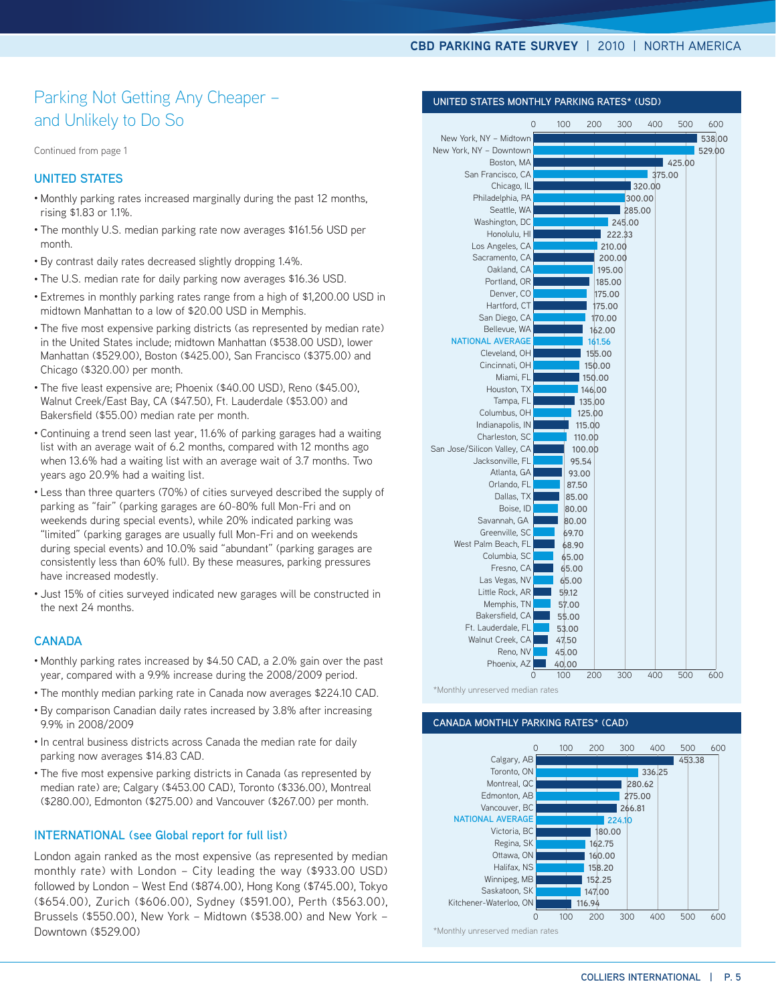**UNITED STATES MONTHLY PARKING RATES\* (USD)**

### Parking Not Getting Any Cheaper – and Unlikely to Do So

Continued from page 1

#### **United States**

- Monthly parking rates increased marginally during the past 12 months, rising \$1.83 or 1.1%.
- The monthly U.S. median parking rate now averages \$161.56 USD per month.
- By contrast daily rates decreased slightly dropping 1.4%.
- The U.S. median rate for daily parking now averages \$16.36 USD.
- Extremes in monthly parking rates range from a high of \$1,200.00 USD in midtown Manhattan to a low of \$20.00 USD in Memphis.
- The five most expensive parking districts (as represented by median rate) in the United States include; midtown Manhattan (\$538.00 USD), lower Manhattan (\$529.00), Boston (\$425.00), San Francisco (\$375.00) and Chicago (\$320.00) per month.
- The five least expensive are; Phoenix (\$40.00 USD), Reno (\$45.00), Walnut Creek/East Bay, CA (\$47.50), Ft. Lauderdale (\$53.00) and Bakersfield (\$55.00) median rate per month.
- Continuing a trend seen last year, 11.6% of parking garages had a waiting list with an average wait of 6.2 months, compared with 12 months ago when 13.6% had a waiting list with an average wait of 3.7 months. Two years ago 20.9% had a waiting list.
- Less than three quarters (70%) of cities surveyed described the supply of parking as "fair" (parking garages are 60-80% full Mon-Fri and on weekends during special events), while 20% indicated parking was "limited" (parking garages are usually full Mon-Fri and on weekends during special events) and 10.0% said "abundant" (parking garages are consistently less than 60% full). By these measures, parking pressures have increased modestly.
- Just 15% of cities surveyed indicated new garages will be constructed in the next 24 months.

#### **CANADA**

- Monthly parking rates increased by \$4.50 CAD, a 2.0% gain over the past year, compared with a 9.9% increase during the 2008/2009 period.
- The monthly median parking rate in Canada now averages \$224.10 CAD.
- By comparison Canadian daily rates increased by 3.8% after increasing 9.9% in 2008/2009
- In central business districts across Canada the median rate for daily parking now averages \$14.83 CAD.
- The five most expensive parking districts in Canada (as represented by median rate) are; Calgary (\$453.00 CAD), Toronto (\$336.00), Montreal (\$280.00), Edmonton (\$275.00) and Vancouver (\$267.00) per month.

#### **INTERNATIONAL (see Global report for full list)**

London again ranked as the most expensive (as represented by median monthly rate) with London – City leading the way (\$933.00 USD) followed by London – West End (\$874.00), Hong Kong (\$745.00), Tokyo (\$654.00), Zurich (\$606.00), Sydney (\$591.00), Perth (\$563.00), Brussels (\$550.00), New York – Midtown (\$538.00) and New York – Downtown (\$529.00)

| $\overline{O}$              | 100   | 200    | 300    | 400    | 500    | 600    |
|-----------------------------|-------|--------|--------|--------|--------|--------|
| New York, NY - Midtown      |       |        |        |        |        | 538.00 |
| New York, NY - Downtown     |       |        |        |        |        | 529.00 |
| Boston, MA                  |       |        |        |        | 425.00 |        |
| San Francisco, CA           |       |        |        | 375.00 |        |        |
| Chicago, IL                 |       |        |        | 320.00 |        |        |
| Philadelphia, PA            |       |        |        | 300.00 |        |        |
| Seattle, WA                 |       |        | 285.00 |        |        |        |
| Washington, DC              |       |        | 245.00 |        |        |        |
| Honolulu, HI                |       |        | 222.33 |        |        |        |
| Los Angeles, CA             |       |        | 210.00 |        |        |        |
| Sacramento, CA              |       |        | 200.00 |        |        |        |
| Oakland, CA                 |       |        | 195.00 |        |        |        |
| Portland, OR                |       | 185.00 |        |        |        |        |
| Denver, CO                  |       | 175.00 |        |        |        |        |
| Hartford, CT                |       | 175.00 |        |        |        |        |
| San Diego, CA               |       | 170.00 |        |        |        |        |
| Bellevue, WA                |       | 162.00 |        |        |        |        |
| <b>NATIONAL AVERAGE</b>     |       | 161.56 |        |        |        |        |
| Cleveland, OH               |       | 155.00 |        |        |        |        |
| Cincinnati, OH              |       | 150.00 |        |        |        |        |
| Miami, FL                   |       | 150.00 |        |        |        |        |
| Houston, TX                 |       | 146.00 |        |        |        |        |
| Tampa, FL                   |       | 135.00 |        |        |        |        |
| Columbus, OH                |       | 125.00 |        |        |        |        |
| Indianapolis, IN            |       | 115.00 |        |        |        |        |
| Charleston, SC              |       | 110.00 |        |        |        |        |
| San Jose/Silicon Valley, CA |       | 100.00 |        |        |        |        |
| Jacksonville, FL            |       | 95.54  |        |        |        |        |
| Atlanta, GA                 | 93.00 |        |        |        |        |        |
| Orlando, FL                 | 87.50 |        |        |        |        |        |
| Dallas, TX                  | 85.00 |        |        |        |        |        |
| Boise, ID                   | 80.00 |        |        |        |        |        |
| Savannah, GA                | 80.00 |        |        |        |        |        |
| Greenville, SC              | 69.70 |        |        |        |        |        |
| West Palm Beach, FL         | 68.90 |        |        |        |        |        |
| Columbia, SC                | 65.00 |        |        |        |        |        |
| Fresno, CA                  | 65.00 |        |        |        |        |        |
| Las Vegas, NV               | 65.00 |        |        |        |        |        |
| Little Rock, AR             | 59.12 |        |        |        |        |        |
| Memphis, TN                 | 57.00 |        |        |        |        |        |
| Bakersfield, CA             | 55.00 |        |        |        |        |        |
| Ft. Lauderdale, FL          | 53.00 |        |        |        |        |        |
| Walnut Creek, CA            | 47.50 |        |        |        |        |        |
| Reno, NV                    | 45.00 |        |        |        |        |        |
| Phoenix, AZ                 | 40.00 |        |        |        |        |        |
| 0                           | 100   | 200    | 300    | 400    | 500    | 600    |

#### \*Monthly unreserved median rates

#### **CANADA MONTHLY PARKING RATES\* (cad)**



\*Monthly unreserved median rates